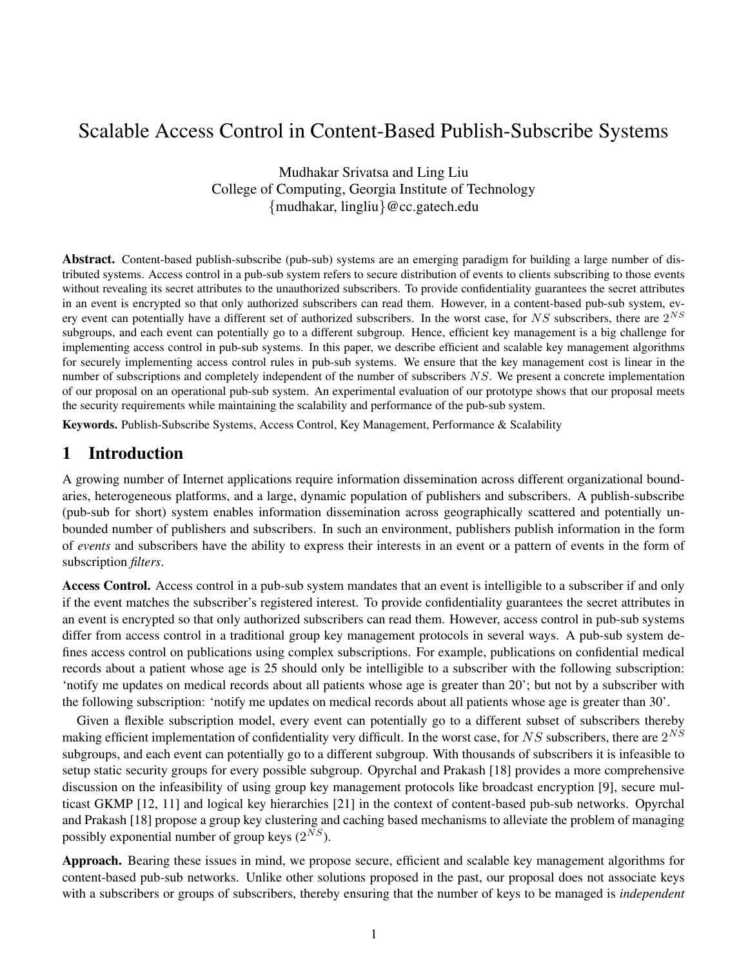# Scalable Access Control in Content-Based Publish-Subscribe Systems

Mudhakar Srivatsa and Ling Liu College of Computing, Georgia Institute of Technology {mudhakar, lingliu}@cc.gatech.edu

**Abstract.** Content-based publish-subscribe (pub-sub) systems are an emerging paradigm for building a large number of distributed systems. Access control in a pub-sub system refers to secure distribution of events to clients subscribing to those events without revealing its secret attributes to the unauthorized subscribers. To provide confidentiality guarantees the secret attributes in an event is encrypted so that only authorized subscribers can read them. However, in a content-based pub-sub system, every event can potentially have a different set of authorized subscribers. In the worst case, for  $NS$  subscribers, there are  $2^{NS}$ subgroups, and each event can potentially go to a different subgroup. Hence, efficient key management is a big challenge for implementing access control in pub-sub systems. In this paper, we describe efficient and scalable key management algorithms for securely implementing access control rules in pub-sub systems. We ensure that the key management cost is linear in the number of subscriptions and completely independent of the number of subscribers  $NS$ . We present a concrete implementation of our proposal on an operational pub-sub system. An experimental evaluation of our prototype shows that our proposal meets the security requirements while maintaining the scalability and performance of the pub-sub system.

**Keywords.** Publish-Subscribe Systems, Access Control, Key Management, Performance & Scalability

# **1 Introduction**

A growing number of Internet applications require information dissemination across different organizational boundaries, heterogeneous platforms, and a large, dynamic population of publishers and subscribers. A publish-subscribe (pub-sub for short) system enables information dissemination across geographically scattered and potentially unbounded number of publishers and subscribers. In such an environment, publishers publish information in the form of *events* and subscribers have the ability to express their interests in an event or a pattern of events in the form of subscription *filters*.

**Access Control.** Access control in a pub-sub system mandates that an event is intelligible to a subscriber if and only if the event matches the subscriber's registered interest. To provide confidentiality guarantees the secret attributes in an event is encrypted so that only authorized subscribers can read them. However, access control in pub-sub systems differ from access control in a traditional group key management protocols in several ways. A pub-sub system defines access control on publications using complex subscriptions. For example, publications on confidential medical records about a patient whose age is 25 should only be intelligible to a subscriber with the following subscription: 'notify me updates on medical records about all patients whose age is greater than 20'; but not by a subscriber with the following subscription: 'notify me updates on medical records about all patients whose age is greater than 30'.

Given a flexible subscription model, every event can potentially go to a different subset of subscribers thereby making efficient implementation of confidentiality very difficult. In the worst case, for NS subscribers, there are  $2^{NS}$ subgroups, and each event can potentially go to a different subgroup. With thousands of subscribers it is infeasible to setup static security groups for every possible subgroup. Opyrchal and Prakash [18] provides a more comprehensive discussion on the infeasibility of using group key management protocols like broadcast encryption [9], secure multicast GKMP [12, 11] and logical key hierarchies [21] in the context of content-based pub-sub networks. Opyrchal and Prakash [18] propose a group key clustering and caching based mechanisms to alleviate the problem of managing possibly exponential number of group keys  $(2^{NS})$ .

**Approach.** Bearing these issues in mind, we propose secure, efficient and scalable key management algorithms for content-based pub-sub networks. Unlike other solutions proposed in the past, our proposal does not associate keys with a subscribers or groups of subscribers, thereby ensuring that the number of keys to be managed is *independent*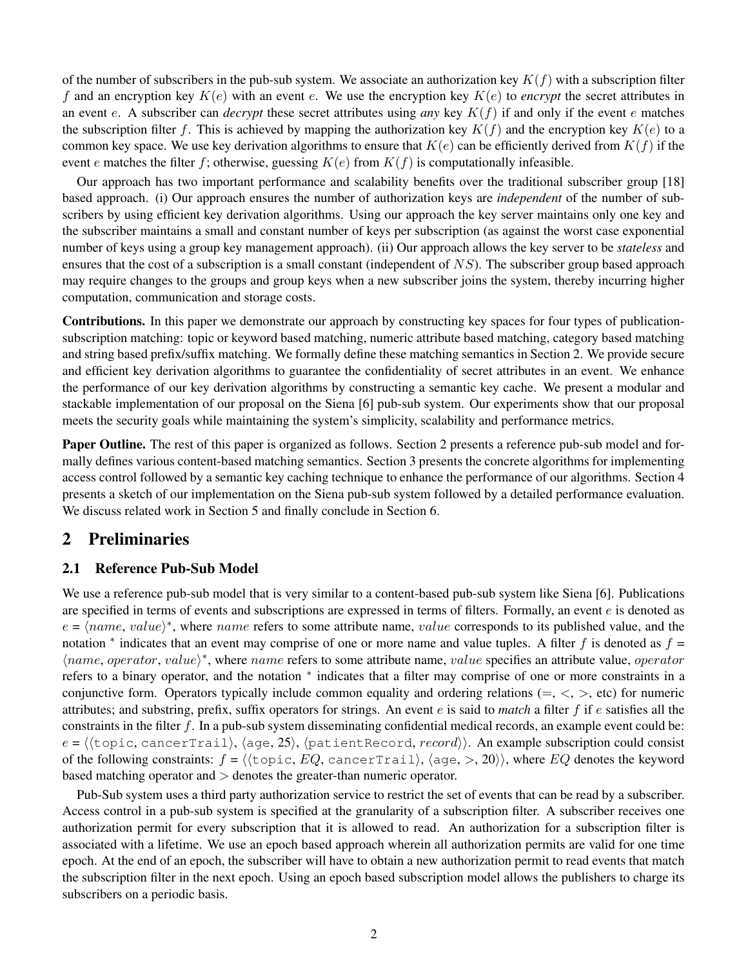of the number of subscribers in the pub-sub system. We associate an authorization key  $K(f)$  with a subscription filter f and an encryption key  $K(e)$  with an event e. We use the encryption key  $K(e)$  to *encrypt* the secret attributes in an event e. A subscriber can *decrypt* these secret attributes using *any* key  $K(f)$  if and only if the event e matches the subscription filter f. This is achieved by mapping the authorization key  $K(f)$  and the encryption key  $K(e)$  to a common key space. We use key derivation algorithms to ensure that  $K(e)$  can be efficiently derived from  $K(f)$  if the event e matches the filter f; otherwise, guessing  $K(e)$  from  $K(f)$  is computationally infeasible.

Our approach has two important performance and scalability benefits over the traditional subscriber group [18] based approach. (i) Our approach ensures the number of authorization keys are *independent* of the number of subscribers by using efficient key derivation algorithms. Using our approach the key server maintains only one key and the subscriber maintains a small and constant number of keys per subscription (as against the worst case exponential number of keys using a group key management approach). (ii) Our approach allows the key server to be *stateless* and ensures that the cost of a subscription is a small constant (independent of  $NS$ ). The subscriber group based approach may require changes to the groups and group keys when a new subscriber joins the system, thereby incurring higher computation, communication and storage costs.

**Contributions.** In this paper we demonstrate our approach by constructing key spaces for four types of publicationsubscription matching: topic or keyword based matching, numeric attribute based matching, category based matching and string based prefix/suffix matching. We formally define these matching semantics in Section 2. We provide secure and efficient key derivation algorithms to guarantee the confidentiality of secret attributes in an event. We enhance the performance of our key derivation algorithms by constructing a semantic key cache. We present a modular and stackable implementation of our proposal on the Siena [6] pub-sub system. Our experiments show that our proposal meets the security goals while maintaining the system's simplicity, scalability and performance metrics.

**Paper Outline.** The rest of this paper is organized as follows. Section 2 presents a reference pub-sub model and formally defines various content-based matching semantics. Section 3 presents the concrete algorithms for implementing access control followed by a semantic key caching technique to enhance the performance of our algorithms. Section 4 presents a sketch of our implementation on the Siena pub-sub system followed by a detailed performance evaluation. We discuss related work in Section 5 and finally conclude in Section 6.

# **2 Preliminaries**

#### **2.1 Reference Pub-Sub Model**

We use a reference pub-sub model that is very similar to a content-based pub-sub system like Siena [6]. Publications are specified in terms of events and subscriptions are expressed in terms of filters. Formally, an event  $e$  is denoted as  $e = \langle name, value \rangle^*$ , where name refers to some attribute name, value corresponds to its published value, and the notation \* indicates that an event may comprise of one or more name and value tuples. A filter f is denoted as  $f =$  $\langle name, operator, value \rangle^*$ , where name refers to some attribute name, value specifies an attribute value, operator refers to a binary operator, and the notation  $*$  indicates that a filter may comprise of one or more constraints in a conjunctive form. Operators typically include common equality and ordering relations  $(=, <, >, etc)$  for numeric attributes; and substring, prefix, suffix operators for strings. An event e is said to *match* a filter f if e satisfies all the constraints in the filter f. In a pub-sub system disseminating confidential medical records, an example event could be:  $e = \langle \langle \text{topic}, \text{cancerTail} \rangle, \langle \text{age}, 25 \rangle, \langle \text{patientRecord}, record \rangle \rangle.$  An example subscription could consist of the following constraints:  $f = \langle \langle \text{topic}, EQ, \text{cancerTrain}\rangle, \langle \text{age}, \rangle, 20 \rangle \rangle$ , where EQ denotes the keyword based matching operator and > denotes the greater-than numeric operator.

Pub-Sub system uses a third party authorization service to restrict the set of events that can be read by a subscriber. Access control in a pub-sub system is specified at the granularity of a subscription filter. A subscriber receives one authorization permit for every subscription that it is allowed to read. An authorization for a subscription filter is associated with a lifetime. We use an epoch based approach wherein all authorization permits are valid for one time epoch. At the end of an epoch, the subscriber will have to obtain a new authorization permit to read events that match the subscription filter in the next epoch. Using an epoch based subscription model allows the publishers to charge its subscribers on a periodic basis.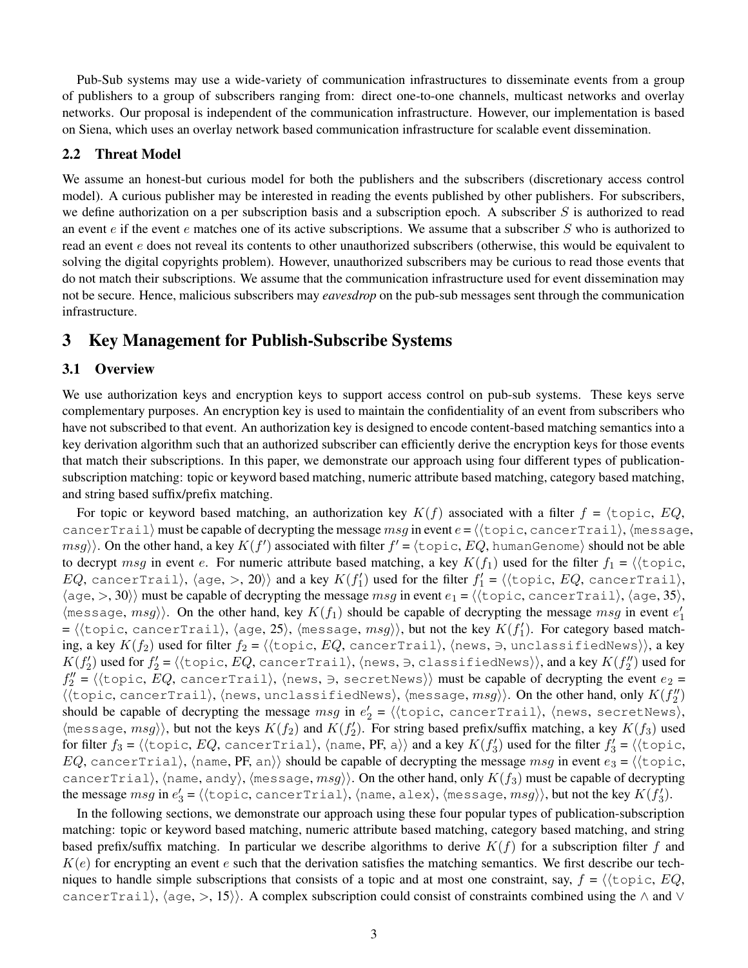Pub-Sub systems may use a wide-variety of communication infrastructures to disseminate events from a group of publishers to a group of subscribers ranging from: direct one-to-one channels, multicast networks and overlay networks. Our proposal is independent of the communication infrastructure. However, our implementation is based on Siena, which uses an overlay network based communication infrastructure for scalable event dissemination.

## **2.2 Threat Model**

We assume an honest-but curious model for both the publishers and the subscribers (discretionary access control model). A curious publisher may be interested in reading the events published by other publishers. For subscribers, we define authorization on a per subscription basis and a subscription epoch. A subscriber  $S$  is authorized to read an event e if the event e matches one of its active subscriptions. We assume that a subscriber  $S$  who is authorized to read an event  $e$  does not reveal its contents to other unauthorized subscribers (otherwise, this would be equivalent to solving the digital copyrights problem). However, unauthorized subscribers may be curious to read those events that do not match their subscriptions. We assume that the communication infrastructure used for event dissemination may not be secure. Hence, malicious subscribers may *eavesdrop* on the pub-sub messages sent through the communication infrastructure.

## **3 Key Management for Publish-Subscribe Systems**

## **3.1 Overview**

We use authorization keys and encryption keys to support access control on pub-sub systems. These keys serve complementary purposes. An encryption key is used to maintain the confidentiality of an event from subscribers who have not subscribed to that event. An authorization key is designed to encode content-based matching semantics into a key derivation algorithm such that an authorized subscriber can efficiently derive the encryption keys for those events that match their subscriptions. In this paper, we demonstrate our approach using four different types of publicationsubscription matching: topic or keyword based matching, numeric attribute based matching, category based matching, and string based suffix/prefix matching.

For topic or keyword based matching, an authorization key  $K(f)$  associated with a filter  $f = \langle \text{topic}, EQ, \rangle$ cancerTrail) must be capable of decrypting the message msg in event  $e = \langle \langle \text{topic}, \text{cancel}(\text{Train}), \langle \text{message}, \rangle \rangle$  $msg\rangle\rangle.$  On the other hand, a key  $K(f')$  associated with filter  $f'$  =  $\langle$ topic,  $EQ,$  humanGenome $\rangle$  should not be able to decrypt msg in event e. For numeric attribute based matching, a key  $K(f_1)$  used for the filter  $f_1 = \langle \text{topic},$  $EQ$ , cancerTrail),  $\langle$ age,  $>$ ,  $20 \rangle$ ) and a key  $K(f_1')$  used for the filter  $f_1' = \langle$   $\langle$ topic,  $EQ$ , cancerTrail $\rangle$ ,  $\langle \text{age}, \rangle$ , 30) must be capable of decrypting the message msg in event  $e_1 = \langle \langle \text{topic}, \text{cancelTrail} \rangle$ ,  $\langle \text{age}, 35 \rangle$ ,  $\langle$ message,  $msg\rangle$ . On the other hand, key  $K(f_1)$  should be capable of decrypting the message  $msg$  in event  $e'_1$ =  $\langle \langle \text{topic}, \text{cancerTail} \rangle, \langle \text{age}, 25 \rangle, \langle \text{message}, \text{msg} \rangle \rangle$ , but not the key  $K(f'_1)$ . For category based matching, a key  $K(f_2)$  used for filter  $f_2 = \langle \langle \text{topic}, EQ, \text{cancerTail} \rangle, \langle \text{news}, \exists, \text{unclassifiedNews} \rangle \rangle$ , a key  $K(f_2')$  used for  $f_2' = \langle\langle$ topic,  $EQ$ , cancerTrail $\rangle$ ,  $\langle$ news, ∋, classifiedNews $\rangle\rangle$ , and a key  $K(f_2'')$  used for  $f''_2=\langle\langle{\tt topic},\,EQ,\, {\tt cancerTail}\rangle,\, \langle{\tt news},\, \ni,\, {\tt secretNews}\rangle\rangle$  must be capable of decrypting the event  $e_2=$  $\langle \langle \text{topic}, \text{cancerTail} \rangle, \langle \text{news}, \text{unclassifiedNews} \rangle, \langle \text{message}, \textit{msg} \rangle \rangle.$  On the other hand, only  $K(f''_2)$ should be capable of decrypting the message  $msg$  in  $e'_2 = \langle \langle \text{topic}, \text{cancerTail} \rangle, \langle \text{news}, \text{secretNews} \rangle,$  $\langle$ message,  $msg\rangle$ , but not the keys  $K(f_2)$  and  $K(f'_2)$ . For string based prefix/suffix matching, a key  $K(f_3)$  used for filter  $f_3$  =  $\langle$ (topic, EQ, cancerTrial),  $\langle$ name, PF, a) $\rangle$  and a key  $K(f'_3)$  used for the filter  $f'_3$  =  $\langle$ (topic, EQ, cancerTrial), (name, PF, an)) should be capable of decrypting the message msg in event  $e_3 =$  ((topic, cancerTrial), (name, andy), (message,  $msg\rangle$ ). On the other hand, only  $K(f_3)$  must be capable of decrypting the message  $msg$  in  $e_3' = \langle\langle \text{topic}, \text{cancerTrial}\rangle, \langle \text{name}, \text{alex}\rangle, \langle \text{message}, \text{msg}\rangle\rangle,$  but not the key  $K(f_3').$ 

In the following sections, we demonstrate our approach using these four popular types of publication-subscription matching: topic or keyword based matching, numeric attribute based matching, category based matching, and string based prefix/suffix matching. In particular we describe algorithms to derive  $K(f)$  for a subscription filter f and  $K(e)$  for encrypting an event e such that the derivation satisfies the matching semantics. We first describe our techniques to handle simple subscriptions that consists of a topic and at most one constraint, say,  $f = \langle \text{topic}, EQ, \text{t} \rangle$ cancerTrail),  $\langle$ age, >, 15}). A complex subscription could consist of constraints combined using the  $\land$  and  $\lor$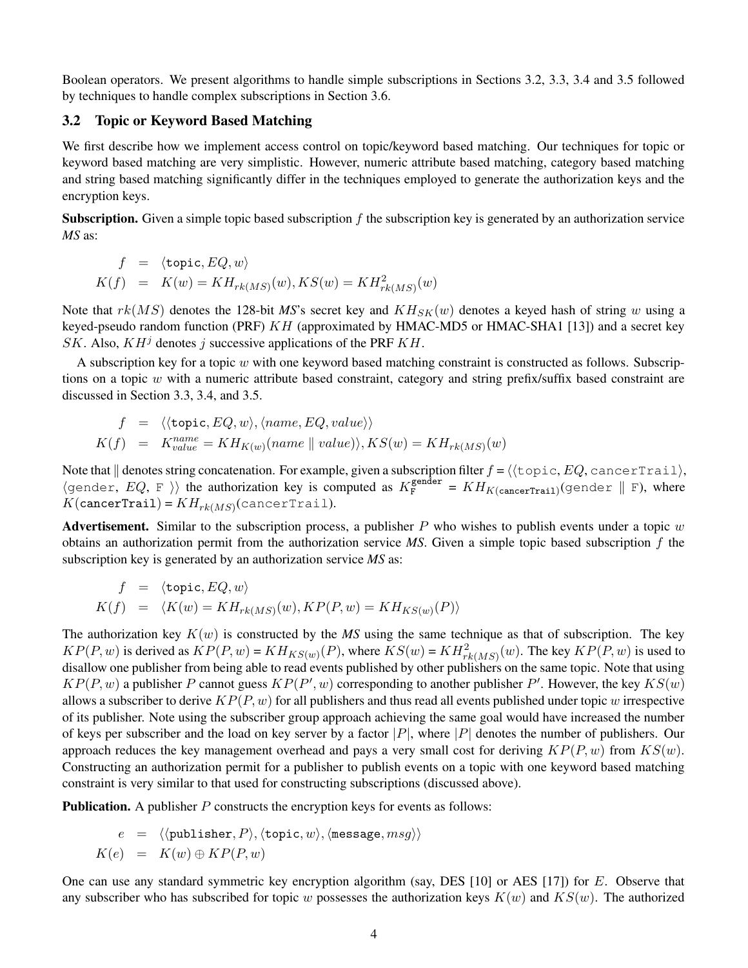Boolean operators. We present algorithms to handle simple subscriptions in Sections 3.2, 3.3, 3.4 and 3.5 followed by techniques to handle complex subscriptions in Section 3.6.

## **3.2 Topic or Keyword Based Matching**

We first describe how we implement access control on topic/keyword based matching. Our techniques for topic or keyword based matching are very simplistic. However, numeric attribute based matching, category based matching and string based matching significantly differ in the techniques employed to generate the authorization keys and the encryption keys.

**Subscription.** Given a simple topic based subscription  $f$  the subscription key is generated by an authorization service *MS* as:

$$
f = \langle \text{topic}, EQ, w \rangle
$$
  

$$
K(f) = K(w) = KH_{rk(MS)}(w), KS(w) = KH_{rk(MS)}^2(w)
$$

Note that  $rk(MS)$  denotes the 128-bit *MS*'s secret key and  $KH_{SK}(w)$  denotes a keyed hash of string w using a keyed-pseudo random function (PRF) KH (approximated by HMAC-MD5 or HMAC-SHA1 [13]) and a secret key SK. Also,  $KH^{j}$  denotes j successive applications of the PRF  $KH$ .

A subscription key for a topic  $w$  with one keyword based matching constraint is constructed as follows. Subscriptions on a topic  $w$  with a numeric attribute based constraint, category and string prefix/suffix based constraint are discussed in Section 3.3, 3.4, and 3.5.

$$
f = \langle \langle \text{topic}, EQ, w \rangle, \langle name, EQ, value \rangle \rangle
$$
  

$$
K(f) = K_{value}^{name} = KH_{K(w)}(name \parallel value), KS(w) = KH_{rk(MS)}(w)
$$

Note that  $\|$  denotes string concatenation. For example, given a subscription filter  $f = \langle \langle \text{topic}, EQ, \text{cancelTrail} \rangle$ ,  $\langle$ gender,  $EQ$ , F  $\rangle$  the authorization key is computed as  $K_F^{\text{gender}} = KH_{K(\text{cancerTrain})}$ (gender  $\parallel$  F), where  $K({\tt cancerTrain})$  =  $KH_{rk(MS)}({\tt cancerTrain}).$ 

**Advertisement.** Similar to the subscription process, a publisher  $P$  who wishes to publish events under a topic  $w$ obtains an authorization permit from the authorization service *MS*. Given a simple topic based subscription f the subscription key is generated by an authorization service *MS* as:

$$
f = \langle \text{topic}, EQ, w \rangle
$$
  

$$
K(f) = \langle K(w) = KH_{rk(MS)}(w), KP(P, w) = KH_{KS(w)}(P) \rangle
$$

The authorization key  $K(w)$  is constructed by the *MS* using the same technique as that of subscription. The key  $KP(P, w)$  is derived as  $KP(P, w) = KH_{KS(w)}(P)$ , where  $KS(w) = KH_{rk(MS)}^2(w)$ . The key  $KP(P, w)$  is used to disallow one publisher from being able to read events published by other publishers on the same topic. Note that using  $KP(P, w)$  a publisher P cannot guess  $KP(P', w)$  corresponding to another publisher P'. However, the key  $KS(w)$ allows a subscriber to derive  $KP(P, w)$  for all publishers and thus read all events published under topic w irrespective of its publisher. Note using the subscriber group approach achieving the same goal would have increased the number of keys per subscriber and the load on key server by a factor  $|P|$ , where  $|P|$  denotes the number of publishers. Our approach reduces the key management overhead and pays a very small cost for deriving  $KP(P, w)$  from  $KS(w)$ . Constructing an authorization permit for a publisher to publish events on a topic with one keyword based matching constraint is very similar to that used for constructing subscriptions (discussed above).

**Publication.** A publisher P constructs the encryption keys for events as follows:

$$
e = \langle \langle \text{public}, P \rangle, \langle \text{topic}, w \rangle, \langle \text{message}, msg \rangle \rangle
$$
  

$$
K(e) = K(w) \oplus KP(P, w)
$$

One can use any standard symmetric key encryption algorithm (say, DES [10] or AES [17]) for E. Observe that any subscriber who has subscribed for topic w possesses the authorization keys  $K(w)$  and  $KS(w)$ . The authorized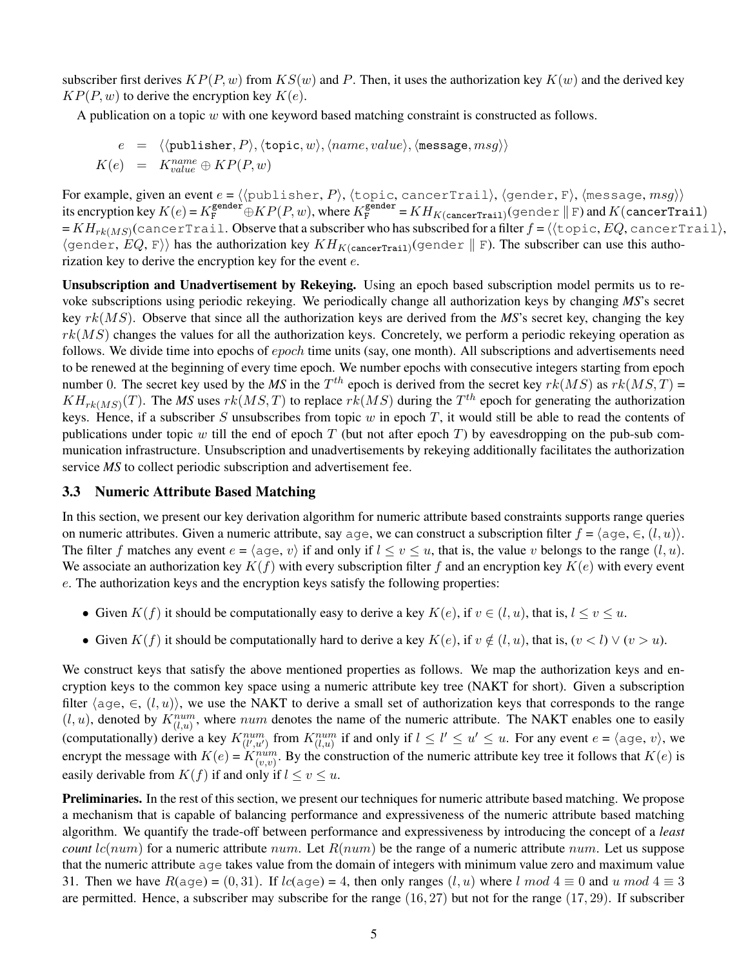subscriber first derives  $KP(P, w)$  from  $KS(w)$  and P. Then, it uses the authorization key  $K(w)$  and the derived key  $KP(P, w)$  to derive the encryption key  $K(e)$ .

A publication on a topic  $w$  with one keyword based matching constraint is constructed as follows.

$$
e = \langle \langle \text{public, P} \rangle, \langle \text{topic, } w \rangle, \langle name, value \rangle, \langle \text{message}, msg \rangle \rangle
$$
  

$$
K(e) = K_{value}^{name} \oplus KP(P, w)
$$

For example, given an event  $e = \langle \langle \text{public, P} \rangle, \langle \text{topic, cancerTail} \rangle, \langle \text{gender, F} \rangle, \langle \text{message, } msg \rangle \rangle$ its encryption key  $K(e) = K_F^{\text{gender}} \oplus KP(P, w)$ , where  $K_F^{\text{gender}} = KH_{K(\text{cancerTrain})}(\text{gender} \parallel F)$  and  $K(\text{cancerTrain})$  $= KH_{rk(MS)}$ (cancerTrail.  $\rm{Observe}$  that a subscriber who has subscribed for a filter  $f$  =  $\langle$   $\langle$  topic,  $EQ$ , cancerTrail $\rangle$ ,  $\langle$ gender,  $EQ$ , F $\rangle$  has the authorization key  $KH_{K(\text{cancerTrain})}$ (gender  $\parallel$  F). The subscriber can use this authorization key to derive the encryption key for the event  $e$ .

**Unsubscription and Unadvertisement by Rekeying.** Using an epoch based subscription model permits us to revoke subscriptions using periodic rekeying. We periodically change all authorization keys by changing *MS*'s secret key rk(MS). Observe that since all the authorization keys are derived from the *MS*'s secret key, changing the key  $rk(MS)$  changes the values for all the authorization keys. Concretely, we perform a periodic rekeying operation as follows. We divide time into epochs of *epoch* time units (say, one month). All subscriptions and advertisements need to be renewed at the beginning of every time epoch. We number epochs with consecutive integers starting from epoch number 0. The secret key used by the *MS* in the  $T^{th}$  epoch is derived from the secret key  $rk(MS)$  as  $rk(MS, T)$  =  $KH_{rk(MS)}(T)$ . The MS uses  $rk(MS, T)$  to replace  $rk(MS)$  during the  $T^{th}$  epoch for generating the authorization keys. Hence, if a subscriber S unsubscribes from topic  $w$  in epoch  $T$ , it would still be able to read the contents of publications under topic w till the end of epoch  $T$  (but not after epoch  $T$ ) by eavesdropping on the pub-sub communication infrastructure. Unsubscription and unadvertisements by rekeying additionally facilitates the authorization service *MS* to collect periodic subscription and advertisement fee.

#### **3.3 Numeric Attribute Based Matching**

In this section, we present our key derivation algorithm for numeric attribute based constraints supports range queries on numeric attributes. Given a numeric attribute, say age, we can construct a subscription filter  $f = \langle \text{age}, \in, (l, u) \rangle$ . The filter f matches any event  $e = \langle \text{age}, v \rangle$  if and only if  $l \le v \le u$ , that is, the value v belongs to the range  $(l, u)$ . We associate an authorization key  $K(f)$  with every subscription filter f and an encryption key  $K(e)$  with every event e. The authorization keys and the encryption keys satisfy the following properties:

- Given  $K(f)$  it should be computationally easy to derive a key  $K(e)$ , if  $v \in (l, u)$ , that is,  $l \le v \le u$ .
- Given  $K(f)$  it should be computationally hard to derive a key  $K(e)$ , if  $v \notin (l, u)$ , that is,  $(v < l) \vee (v > u)$ .

We construct keys that satisfy the above mentioned properties as follows. We map the authorization keys and encryption keys to the common key space using a numeric attribute key tree (NAKT for short). Given a subscription filter  $\langle \text{age}, \in, (l, u) \rangle$ , we use the NAKT to derive a small set of authorization keys that corresponds to the range  $(l, u)$ , denoted by  $K_{(l, u)}^{num}$ , where num denotes the name of the numeric attribute. The NAKT enables one to easily (computationally) derive a key  $K_{(l',u')}^{num}$  from  $K_{(l,u)}^{num}$  if and only if  $l \leq l' \leq u' \leq u$ . For any event  $e = \langle \text{age}, v \rangle$ , we encrypt the message with  $K(e) = K_{(v,v)}^{n \times n}$ . By the construction of the numeric attribute key tree it follows that  $K(e)$  is easily derivable from  $K(f)$  if and only if  $l \le v \le u$ .

**Preliminaries.** In the rest of this section, we present our techniques for numeric attribute based matching. We propose a mechanism that is capable of balancing performance and expressiveness of the numeric attribute based matching algorithm. We quantify the trade-off between performance and expressiveness by introducing the concept of a *least count*  $lc(num)$  for a numeric attribute num. Let  $R(num)$  be the range of a numeric attribute num. Let us suppose that the numeric attribute age takes value from the domain of integers with minimum value zero and maximum value 31. Then we have  $R(\text{age}) = (0, 31)$ . If  $lc(\text{age}) = 4$ , then only ranges  $(l, u)$  where l mod  $4 \equiv 0$  and u mod  $4 \equiv 3$ are permitted. Hence, a subscriber may subscribe for the range  $(16, 27)$  but not for the range  $(17, 29)$ . If subscriber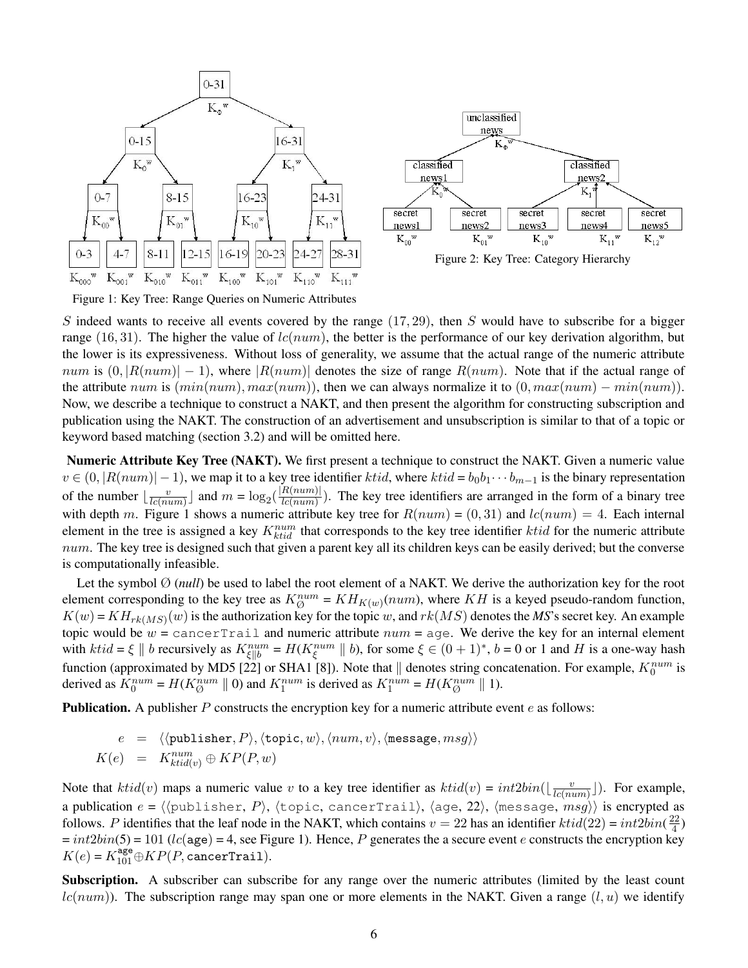

Figure 1: Key Tree: Range Queries on Numeric Attributes

S indeed wants to receive all events covered by the range  $(17, 29)$ , then S would have to subscribe for a bigger range (16, 31). The higher the value of  $lc(num)$ , the better is the performance of our key derivation algorithm, but the lower is its expressiveness. Without loss of generality, we assume that the actual range of the numeric attribute  $num$  is  $(0, |R(num)| - 1)$ , where  $|R(num)|$  denotes the size of range  $R(num)$ . Note that if the actual range of the attribute num is  $(min(num), max(num))$ , then we can always normalize it to  $(0, max(num) - min(num))$ . Now, we describe a technique to construct a NAKT, and then present the algorithm for constructing subscription and publication using the NAKT. The construction of an advertisement and unsubscription is similar to that of a topic or keyword based matching (section 3.2) and will be omitted here.

**Numeric Attribute Key Tree (NAKT).** We first present a technique to construct the NAKT. Given a numeric value  $v \in (0, |R(num)| - 1)$ , we map it to a key tree identifier ktid, where ktid =  $b_0b_1 \cdots b_{m-1}$  is the binary representation of the number  $\frac{v}{\sqrt{c(n)}}$  $\frac{v}{lc(num)}$  and  $m = \log_2(\frac{|R(num)|}{lc(num)})$  $\frac{R(num)}{R(num)}$ ). The key tree identifiers are arranged in the form of a binary tree with depth m. Figure 1 shows a numeric attribute key tree for  $R(num) = (0, 31)$  and  $lc(num) = 4$ . Each internal element in the tree is assigned a key  $K_{ktid}^{num}$  that corresponds to the key tree identifier ktid for the numeric attribute  $num$ . The key tree is designed such that given a parent key all its children keys can be easily derived; but the converse is computationally infeasible.

Let the symbol  $\emptyset$  (*null*) be used to label the root element of a NAKT. We derive the authorization key for the root element corresponding to the key tree as  $K_{\emptyset}^{num} = KH_{K(w)}(num)$ , where KH is a keyed pseudo-random function,  $K(w) = KH_{rk(MS)}(w)$  is the authorization key for the topic w, and  $rk(MS)$  denotes the MS's secret key. An example topic would be  $w =$  cancerTrail and numeric attribute  $num =$  age. We derive the key for an internal element with  $ktid = \xi || b$  recursively as  $K^{num}_{\xi||b} = H(K^{num}_{\xi} || b)$ , for some  $\xi \in (0+1)^*$ ,  $b = 0$  or 1 and H is a one-way hash function (approximated by MD5 [22] or SHA1 [8]). Note that  $\parallel$  denotes string concatenation. For example,  $K_0^{num}$  is derived as  $K_0^{num} = H(K_\emptyset^{num} \parallel 0)$  and  $K_1^{num}$  is derived as  $K_1^{num} = H(K_\emptyset^{num} \parallel 1)$ .

**Publication.** A publisher P constructs the encryption key for a numeric attribute event e as follows:

$$
e = \langle \langle \text{public, } P \rangle, \langle \text{topic, } w \rangle, \langle num, v \rangle, \langle \text{message}, msg \rangle \rangle
$$
  

$$
K(e) = K_{\text{ktid}(v)}^{\text{num}} \oplus KP(P, w)
$$

Note that  $ktid(v)$  maps a numeric value v to a key tree identifier as  $ktid(v) = int2bin(\frac{v}{kclm}$  $\frac{v}{lc(num)}$ ]). For example, a publication  $e = \langle \langle \text{publication of } e \rangle, \langle \text{publication of } e \rangle \rangle$ ,  $\langle \text{publication of } e \rangle$  is encrypted as follows. P identifies that the leaf node in the NAKT, which contains  $v = 22$  has an identifier  $ktid(22) = int2bin(\frac{22}{4})$  $\frac{22}{4})$  $= int2bin(5) = 101$  ( $lc$ (age) = 4, see Figure 1). Hence, P generates the a secure event e constructs the encryption key  $K(e) = K_{101}^{\text{age}} \oplus KP(P, \text{cancerTrain}).$ 

**Subscription.** A subscriber can subscribe for any range over the numeric attributes (limited by the least count  $lc(num)$ ). The subscription range may span one or more elements in the NAKT. Given a range  $(l, u)$  we identify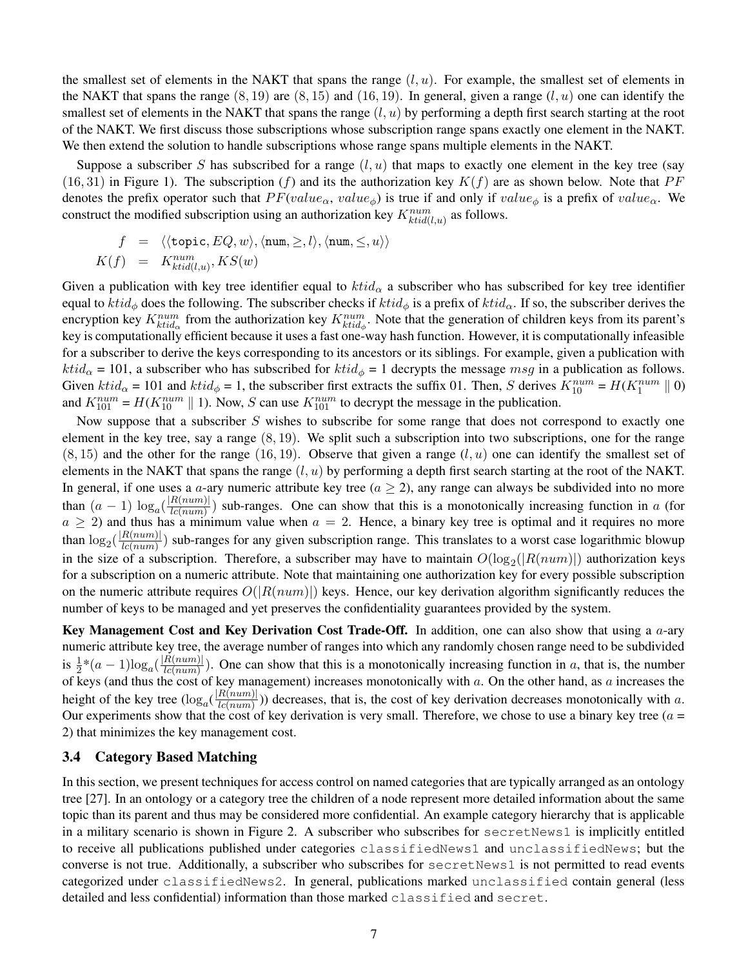the smallest set of elements in the NAKT that spans the range  $(l, u)$ . For example, the smallest set of elements in the NAKT that spans the range  $(8, 19)$  are  $(8, 15)$  and  $(16, 19)$ . In general, given a range  $(l, u)$  one can identify the smallest set of elements in the NAKT that spans the range  $(l, u)$  by performing a depth first search starting at the root of the NAKT. We first discuss those subscriptions whose subscription range spans exactly one element in the NAKT. We then extend the solution to handle subscriptions whose range spans multiple elements in the NAKT.

Suppose a subscriber S has subscribed for a range  $(l, u)$  that maps to exactly one element in the key tree (say  $(16, 31)$  in Figure 1). The subscription (f) and its the authorization key  $K(f)$  are as shown below. Note that PF denotes the prefix operator such that  $PF(value_{\alpha}, value_{\phi})$  is true if and only if value<sub>φ</sub> is a prefix of value<sub>α</sub>. We construct the modified subscription using an authorization key  $K_{ktid(l,u)}^{num}$  as follows.

$$
f = \langle \langle \text{topic}, EQ, w \rangle, \langle \text{num}, \ge, l \rangle, \langle \text{num}, \le, u \rangle \rangle
$$
  

$$
K(f) = K_{ktid(l,u)}^{num}, KS(w)
$$

Given a publication with key tree identifier equal to  $ktid_\alpha$  a subscriber who has subscribed for key tree identifier equal to  $ktid_\phi$  does the following. The subscriber checks if  $ktid_\phi$  is a prefix of  $ktid_\alpha$ . If so, the subscriber derives the encryption key  $K_{ktid_{\alpha}}^{num}$  from the authorization key  $K_{ktid_{\phi}}^{num}$ . Note that the generation of children keys from its parent's key is computationally efficient because it uses a fast one-way hash function. However, it is computationally infeasible for a subscriber to derive the keys corresponding to its ancestors or its siblings. For example, given a publication with  $ktid_\alpha = 101$ , a subscriber who has subscribed for  $ktid_\phi = 1$  decrypts the message msg in a publication as follows. Given  $ktid_\alpha = 101$  and  $ktid_\phi = 1$ , the subscriber first extracts the suffix 01. Then, S derives  $K_{10}^{num} = H(K_1^{num} \parallel 0)$ and  $K_{101}^{num} = H(K_{10}^{num} \parallel 1)$ . Now, S can use  $K_{101}^{num}$  to decrypt the message in the publication.

Now suppose that a subscriber  $S$  wishes to subscribe for some range that does not correspond to exactly one element in the key tree, say a range  $(8, 19)$ . We split such a subscription into two subscriptions, one for the range  $(8, 15)$  and the other for the range  $(16, 19)$ . Observe that given a range  $(l, u)$  one can identify the smallest set of elements in the NAKT that spans the range  $(l, u)$  by performing a depth first search starting at the root of the NAKT. In general, if one uses a a-ary numeric attribute key tree ( $a \ge 2$ ), any range can always be subdivided into no more than  $(a-1) \log_a(\frac{|R(num)|}{lcl(num)})$  $\frac{R(num)}{R(num)}$ ) sub-ranges. One can show that this is a monotonically increasing function in a (for  $a \ge 2$ ) and thus has a minimum value when  $a = 2$ . Hence, a binary key tree is optimal and it requires no more than  $\log_2(\frac{|R(num)|}{lcl(num)})$  $\frac{E(num)}{E(num)}$ ) sub-ranges for any given subscription range. This translates to a worst case logarithmic blowup in the size of a subscription. Therefore, a subscriber may have to maintain  $O(log_2(|R(num)|)$  authorization keys for a subscription on a numeric attribute. Note that maintaining one authorization key for every possible subscription on the numeric attribute requires  $O(|R(num)|)$  keys. Hence, our key derivation algorithm significantly reduces the number of keys to be managed and yet preserves the confidentiality guarantees provided by the system.

**Key Management Cost and Key Derivation Cost Trade-Off.** In addition, one can also show that using a a-ary numeric attribute key tree, the average number of ranges into which any randomly chosen range need to be subdivided is  $\frac{1}{2}*(a-1)\log_a(\frac{|R(num)|}{lc(num)})$  $\frac{E(num)}{E(num)}$ ). One can show that this is a monotonically increasing function in a, that is, the number of keys (and thus the cost of key management) increases monotonically with  $a$ . On the other hand, as  $a$  increases the height of the key tree  $(\log_a(\frac{|R(num)|}{le(num)})$  $\frac{E(num)}{E(num)}$ ) decreases, that is, the cost of key derivation decreases monotonically with a. Our experiments show that the cost of key derivation is very small. Therefore, we chose to use a binary key tree ( $a =$ 2) that minimizes the key management cost.

#### **3.4 Category Based Matching**

In this section, we present techniques for access control on named categories that are typically arranged as an ontology tree [27]. In an ontology or a category tree the children of a node represent more detailed information about the same topic than its parent and thus may be considered more confidential. An example category hierarchy that is applicable in a military scenario is shown in Figure 2. A subscriber who subscribes for secretNews1 is implicitly entitled to receive all publications published under categories classifiedNews1 and unclassifiedNews; but the converse is not true. Additionally, a subscriber who subscribes for secretNews1 is not permitted to read events categorized under classifiedNews2. In general, publications marked unclassified contain general (less detailed and less confidential) information than those marked classified and secret.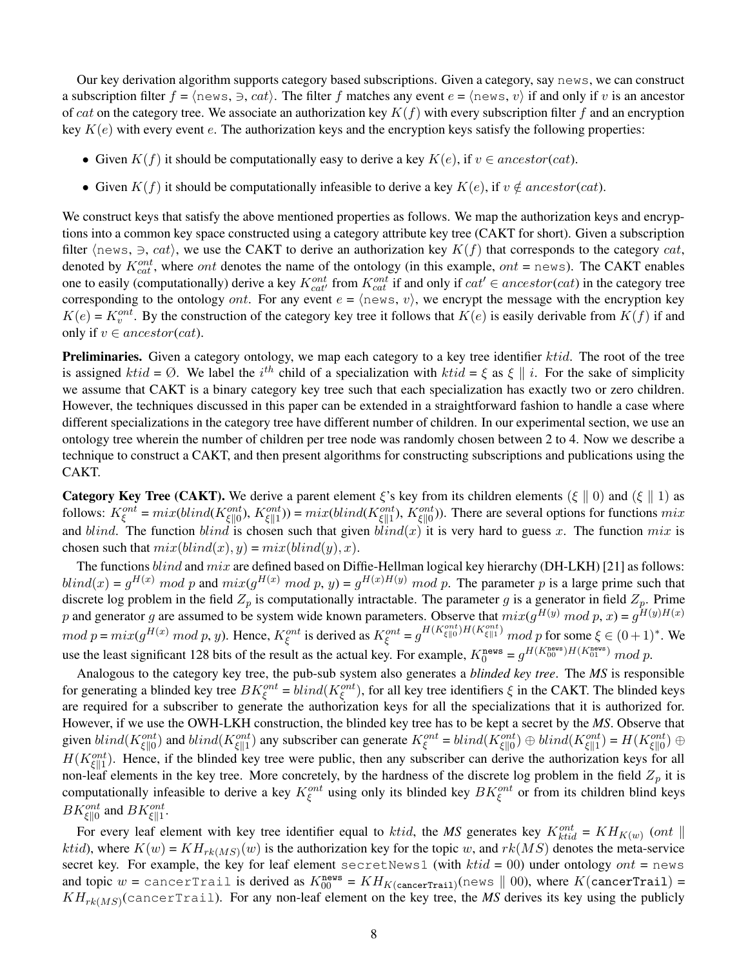Our key derivation algorithm supports category based subscriptions. Given a category, say news, we can construct a subscription filter  $f = \langle news, \exists, cat \rangle$ . The filter f matches any event  $e = \langle news, v \rangle$  if and only if v is an ancestor of cat on the category tree. We associate an authorization key  $K(f)$  with every subscription filter f and an encryption key  $K(e)$  with every event e. The authorization keys and the encryption keys satisfy the following properties:

- Given  $K(f)$  it should be computationally easy to derive a key  $K(e)$ , if  $v \in ancestor(cat)$ .
- Given  $K(f)$  it should be computationally infeasible to derive a key  $K(e)$ , if  $v \notin ancestor(cat)$ .

We construct keys that satisfy the above mentioned properties as follows. We map the authorization keys and encryptions into a common key space constructed using a category attribute key tree (CAKT for short). Given a subscription filter  $\langle$ news,  $\Rightarrow$ , cat $\rangle$ , we use the CAKT to derive an authorization key  $K(f)$  that corresponds to the category cat, denoted by  $K_{cat}^{ont}$ , where *ont* denotes the name of the ontology (in this example, *ont* = news). The CAKT enables one to easily (computationally) derive a key  $K_{cat}^{ont}$  from  $K_{cat}^{ont}$  if and only if  $cat' \in ancestor(cat)$  in the category tree corresponding to the ontology *ont*. For any event  $e = \langle n \infty, v \rangle$ , we encrypt the message with the encryption key  $K(e) = K_v^{ont}$ . By the construction of the category key tree it follows that  $K(e)$  is easily derivable from  $K(f)$  if and only if  $v \in ancestor(cat)$ .

Preliminaries. Given a category ontology, we map each category to a key tree identifier ktid. The root of the tree is assigned  $ktid = \emptyset$ . We label the i<sup>th</sup> child of a specialization with  $ktid = \xi$  as  $\xi || i$ . For the sake of simplicity we assume that CAKT is a binary category key tree such that each specialization has exactly two or zero children. However, the techniques discussed in this paper can be extended in a straightforward fashion to handle a case where different specializations in the category tree have different number of children. In our experimental section, we use an ontology tree wherein the number of children per tree node was randomly chosen between 2 to 4. Now we describe a technique to construct a CAKT, and then present algorithms for constructing subscriptions and publications using the CAKT.

**Category Key Tree (CAKT).** We derive a parent element  $\xi$ 's key from its children elements ( $\xi \parallel 0$ ) and ( $\xi \parallel 1$ ) as follows:  $K_{\xi}^{ont} = mix(blind(K_{\xi\|\theta}^{ont})$ ,  $K_{\xi\|\cdot\|}^{ont}$ ) =  $mix(blind(K_{\xi\|\cdot\|}^{ont})$ ,  $K_{\xi\|\theta}^{ont}$ ). There are several options for functions  $mix$ and blind. The function blind is chosen such that given  $blind(x)$  it is very hard to guess x. The function mix is chosen such that  $mix(blind(x), y) = mix(blind(y), x)$ .

The functions blind and mix are defined based on Diffie-Hellman logical key hierarchy (DH-LKH) [21] as follows:  $blind(x) = g^{H(x)} \mod p$  and  $mix(g^{H(x)} \mod p, y) = g^{H(x)H(y)} \mod p$ . The parameter p is a large prime such that discrete log problem in the field  $Z_p$  is computationally intractable. The parameter g is a generator in field  $Z_p$ . Prime p and generator g are assumed to be system wide known parameters. Observe that  $mix(g^{H(y)} \mod p, x) = g^{H(y)H(x)}$  $mod\ p = mix(g^{H(x)}\ mod\ p, y)$ . Hence,  $K_{\xi}^{ont}$  is derived as  $K_{\xi}^{ont} = g^{H(K_{\xi}^{ont})H(K_{\xi}^{ont})}\ mod\ p$  for some  $\xi \in (0+1)^{*}$ . We use the least significant 128 bits of the result as the actual key. For example,  $K_0^{\text{news}} = g^{H(K_{00}^{\text{news}})H(K_{01}^{\text{news}})} \mod p$ .

Analogous to the category key tree, the pub-sub system also generates a *blinded key tree*. The *MS* is responsible for generating a blinded key tree  $BK_{\xi}^{ont} = blind(K_{\xi}^{ont})$ , for all key tree identifiers  $\xi$  in the CAKT. The blinded keys are required for a subscriber to generate the authorization keys for all the specializations that it is authorized for. However, if we use the OWH-LKH construction, the blinded key tree has to be kept a secret by the *MS*. Observe that given  $blind(K_{\xi||0}^{ont})$  and  $blind(K_{\xi||1}^{ont})$  any subscriber can generate  $K_{\xi}^{ont} = blind(K_{\xi||0}^{ont}) \oplus blind(K_{\xi||1}^{ont}) = H(K_{\xi||0}^{ont}) \oplus$  $H(K_{\xi\parallel 1}^{ont})$ . Hence, if the blinded key tree were public, then any subscriber can derive the authorization keys for all non-leaf elements in the key tree. More concretely, by the hardness of the discrete log problem in the field  $Z_p$  it is computationally infeasible to derive a key  $K_{\xi}^{ont}$  using only its blinded key  $BK_{\xi}^{ont}$  or from its children blind keys  $BK_{\xi\parallel 0}^{ont}$  and  $BK_{\xi\parallel 1}^{ont}$ .

For every leaf element with key tree identifier equal to *ktid*, the *MS* generates key  $K_{ktid}^{ont} = KH_{K(w)}$  (ont  $\parallel$ *ktid*), where  $K(w) = KH_{rk(MS)}(w)$  is the authorization key for the topic w, and  $rk(MS)$  denotes the meta-service secret key. For example, the key for leaf element secretNews1 (with  $ktid = 00$ ) under ontology ont = news and topic  $w =$  cancerTrail is derived as  $K_{00}^{\text{news}} = KH_{K(\text{cancerTrain})}(\text{news} \parallel 00)$ , where  $K(\text{cancerTrain}) =$  $KH_{rk(MS)}(cancerTrain)$ . For any non-leaf element on the key tree, the *MS* derives its key using the publicly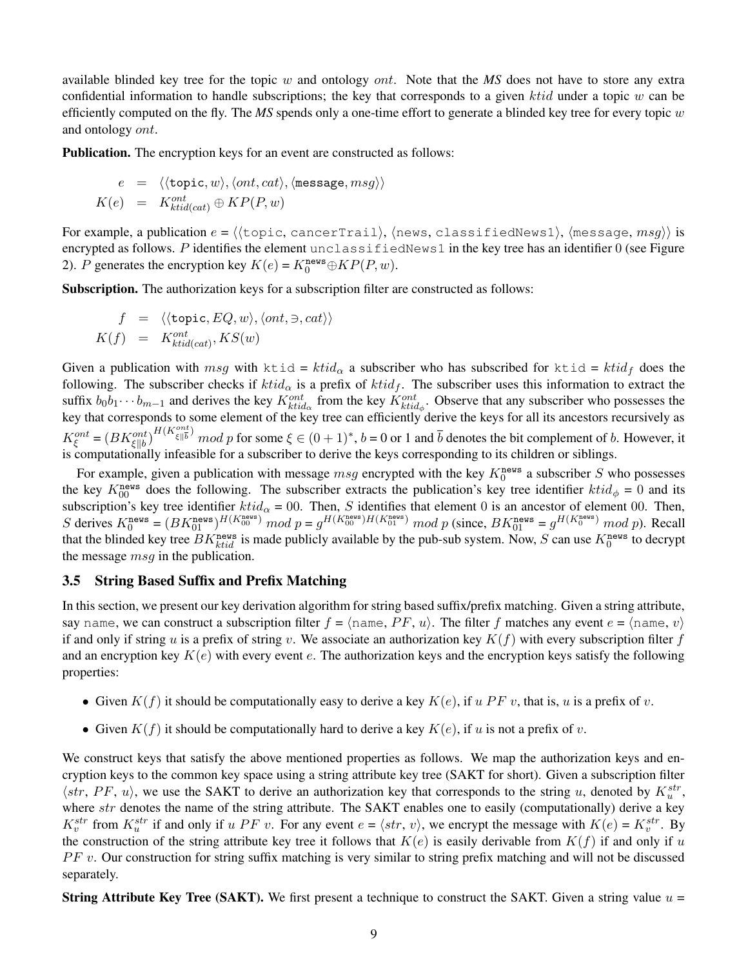available blinded key tree for the topic w and ontology ont. Note that the *MS* does not have to store any extra confidential information to handle subscriptions; the key that corresponds to a given ktid under a topic w can be efficiently computed on the fly. The *MS* spends only a one-time effort to generate a blinded key tree for every topic w and ontology ont.

**Publication.** The encryption keys for an event are constructed as follows:

$$
e = \langle \langle \text{topic}, w \rangle, \langle ont, cat \rangle, \langle \text{message}, msg \rangle \rangle K(e) = K_{ktid(cat)}^{\text{out}} \oplus KP(P, w)
$$

For example, a publication  $e = \langle \langle \text{topic}, \text{cancelTrail} \rangle, \langle \text{news}, \text{classifiedNews1} \rangle, \langle \text{message}, \text{msg} \rangle \rangle$  is encrypted as follows. P identifies the element unclassifiedNews1 in the key tree has an identifier  $0$  (see Figure 2). P generates the encryption key  $K(e) = K_0^{\text{news}} \oplus KP(P, w)$ .

**Subscription.** The authorization keys for a subscription filter are constructed as follows:

$$
f = \langle \langle \text{topic}, EQ, w \rangle, \langle ont, \ni, cat \rangle \rangle
$$
  

$$
K(f) = K_{ktid(cat)}^{ont}, KS(w)
$$

Given a publication with  $msg$  with ktid =  $ktid_\alpha$  a subscriber who has subscribed for ktid =  $ktid_f$  does the following. The subscriber checks if  $ktid_\alpha$  is a prefix of  $ktid_f$ . The subscriber uses this information to extract the suffix  $b_0b_1 \cdots b_{m-1}$  and derives the key  $K_{ktid_{\alpha}}^{ont}$  from the key  $K_{ktid_{\phi}}^{ont}$ . Observe that any subscriber who possesses the key that corresponds to some element of the key tree can efficiently derive the keys for all its ancestors recursively as  $K_{\xi}^{ont} = (BK_{\xi||b}^{ont})^{H(K_{\xi||b}^{ont})} \mod p$  for some  $\xi \in (0+1)^*$ ,  $b = 0$  or 1 and  $\overline{b}$  denotes the bit complement of b. However, it is computationally infeasible for a subscriber to derive the keys corresponding to its children or siblings.

For example, given a publication with message  $msg$  encrypted with the key  $K_0^{news}$  a subscriber S who possesses the key  $K_{00}^{\text{news}}$  does the following. The subscriber extracts the publication's key tree identifier  $ktid_{\phi} = 0$  and its subscription's key tree identifier  $ktid_\alpha = 00$ . Then, S identifies that element 0 is an ancestor of element 00. Then, S derives  $K_0^{\text{news}} = (BK_{01}^{\text{news}})^{H(K_{00}^{\text{news}})} \mod p = g^{H(K_{00}^{\text{news}})H(K_{01}^{\text{news}})} \mod p$  (since,  $BK_{01}^{\text{news}} = g^{H(K_{0}^{\text{news}})} \mod p$ ). Recall that the blinded key tree  $BK_{ktid}^{\text{news}}$  is made publicly available by the pub-sub system. Now, S can use  $K_0^{\text{news}}$  to decrypt the message *msq* in the publication.

#### **3.5 String Based Suffix and Prefix Matching**

In this section, we present our key derivation algorithm for string based suffix/prefix matching. Given a string attribute, say name, we can construct a subscription filter  $f = \langle n \text{ame}, PF, u \rangle$ . The filter f matches any event  $e = \langle n \text{ame}, v \rangle$ if and only if string u is a prefix of string v. We associate an authorization key  $K(f)$  with every subscription filter f and an encryption key  $K(e)$  with every event e. The authorization keys and the encryption keys satisfy the following properties:

- Given  $K(f)$  it should be computationally easy to derive a key  $K(e)$ , if u PF v, that is, u is a prefix of v.
- Given  $K(f)$  it should be computationally hard to derive a key  $K(e)$ , if u is not a prefix of v.

We construct keys that satisfy the above mentioned properties as follows. We map the authorization keys and encryption keys to the common key space using a string attribute key tree (SAKT for short). Given a subscription filter  $\langle str, PF, u \rangle$ , we use the SAKT to derive an authorization key that corresponds to the string u, denoted by  $K_u^{str}$ , where str denotes the name of the string attribute. The SAKT enables one to easily (computationally) derive a key  $K_v^{str}$  from  $K_u^{str}$  if and only if u PF v. For any event  $e = \langle str, v \rangle$ , we encrypt the message with  $K(e) = K_v^{str}$ . By the construction of the string attribute key tree it follows that  $K(e)$  is easily derivable from  $K(f)$  if and only if u  $PF$  v. Our construction for string suffix matching is very similar to string prefix matching and will not be discussed separately.

**String Attribute Key Tree (SAKT).** We first present a technique to construct the SAKT. Given a string value  $u =$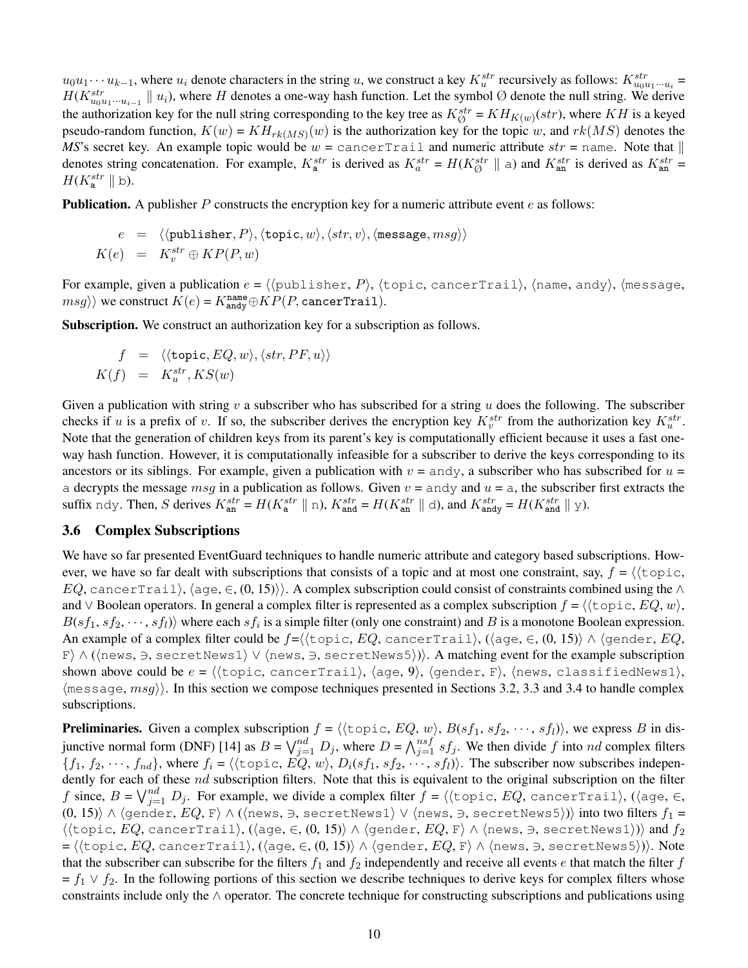$u_0u_1\cdots u_{k-1}$ , where  $u_i$  denote characters in the string u, we construct a key  $K_u^{str}$  recursively as follows:  $K_{u_0u_1\cdots u_i}^{str}$  =  $H(K_{u_0u_1\cdots u_{i-1}}^{str} \parallel u_i)$ , where H denotes a one-way hash function. Let the symbol Ø denote the null string. We derive the authorization key for the null string corresponding to the key tree as  $K^{str}_{\emptyset} = KH_{K(w)}(str)$ , where KH is a keyed pseudo-random function,  $K(w) = KH_{rk(MS)}(w)$  is the authorization key for the topic w, and  $rk(MS)$  denotes the *MS*'s secret key. An example topic would be  $w = \text{cancerTail}$  and numeric attribute  $str = \text{name}$ . Note that  $\parallel$ denotes string concatenation. For example,  $K_{a}^{str}$  is derived as  $K_{a}^{str} = H(K_{\emptyset}^{str} \parallel a)$  and  $K_{an}^{str}$  is derived as  $K_{an}^{str} =$  $H(K_{\mathbf{a}}^{str} \parallel b).$ 

**Publication.** A publisher P constructs the encryption key for a numeric attribute event e as follows:

$$
e = \langle \langle \text{public, } P \rangle, \langle \text{topic, } w \rangle, \langle str, v \rangle, \langle \text{message}, msg \rangle \rangle
$$
  

$$
K(e) = K_v^{str} \oplus KP(P, w)
$$

For example, given a publication  $e = \langle \langle \text{public} \rangle$  here  $P \rangle$ ,  $\langle \text{topic}, \text{cancel} \rangle$ ,  $\langle \text{name}, \text{and} \gamma \rangle$ ,  $\langle \text{message}, \text{node} \rangle$  $msg\rangle\rangle$  we construct  $K(e) = K_{\text{andy}}^{\text{name}} \oplus KP(P, \text{cancerTrain}).$ 

**Subscription.** We construct an authorization key for a subscription as follows.

$$
f = \langle \langle \text{topic}, EQ, w \rangle, \langle str, PF, u \rangle \rangle
$$
  

$$
K(f) = K_u^{str}, KS(w)
$$

Given a publication with string v a subscriber who has subscribed for a string u does the following. The subscriber checks if u is a prefix of v. If so, the subscriber derives the encryption key  $K_v^{str}$  from the authorization key  $K_u^{str}$ . Note that the generation of children keys from its parent's key is computationally efficient because it uses a fast oneway hash function. However, it is computationally infeasible for a subscriber to derive the keys corresponding to its ancestors or its siblings. For example, given a publication with  $v =$  andy, a subscriber who has subscribed for  $u =$ a decrypts the message  $msg$  in a publication as follows. Given  $v =$  andy and  $u =$  a, the subscriber first extracts the suffix ndy. Then, S derives  $K_{\text{an}}^{str} = H(K_{\text{a}}^{str} \parallel n)$ ,  $K_{\text{and}}^{str} = H(K_{\text{an}}^{str} \parallel d)$ , and  $K_{\text{and}}^{str} = H(K_{\text{and}}^{str} \parallel y)$ .

## **3.6 Complex Subscriptions**

We have so far presented EventGuard techniques to handle numeric attribute and category based subscriptions. However, we have so far dealt with subscriptions that consists of a topic and at most one constraint, say,  $f = \langle \text{topic},$ EQ, cancerTrail),  $\langle$  age,  $\in$ ,  $(0, 15)\rangle$ . A complex subscription could consist of constraints combined using the ∧ and ∨ Boolean operators. In general a complex filter is represented as a complex subscription  $f = \langle \langle \text{topic}, EQ, w \rangle, \rangle$  $B(sf_1, sf_2, \dots, sf_l)$  where each  $sf_i$  is a simple filter (only one constraint) and B is a monotone Boolean expression. An example of a complex filter could be  $f=\langle \langle \text{topic}, EQ, \text{cancerTail}\rangle, (\langle \text{age}, \in, (0, 15) \rangle \wedge \langle \text{gender}, EQ,$ F)  $\land$  ( $\land$ news,  $\ni$ , secretNews1)  $\lor$   $\land$ news,  $\ni$ , secretNews5))). A matching event for the example subscription shown above could be  $e = \langle \text{topic}, \text{cancerTail}\rangle, \text{age}, 9\rangle, \text{gender}, F\rangle, \text{news}, \text{classifiedNews1}\rangle,$  $\langle$  message,  $msg \rangle$ . In this section we compose techniques presented in Sections 3.2, 3.3 and 3.4 to handle complex subscriptions.

**Preliminaries.** Given a complex subscription  $f = \langle \langle \text{topic}, EQ, w \rangle, B(sf_1, sf_2, \dots, sf_l) \rangle$ , we express B in disjunctive normal form (DNF) [14] as  $B = \bigvee_{j=1}^{nd} D_j$ , where  $D = \bigwedge_{j=1}^{nsf} sf_j$ . We then divide f into nd complex filters  ${f_1, f_2, \dots, f_{nd}}$ , where  $f_i = \langle {\text{topic}, EQ, w} \rangle$ ,  $D_i(sf_1, sf_2, \dots, s f_l)$ . The subscriber now subscribes independently for each of these nd subscription filters. Note that this is equivalent to the original subscription on the filter f since,  $B = \bigvee_{j=1}^{nd} D_j$ . For example, we divide a complex filter  $f = \langle \langle \text{topic}, EQ, \text{cancerTail} \rangle, (\langle \text{age}, \in,$ (0, 15))  $\land$  (gender, EQ, F)  $\land$  ((news,  $\exists$ , secretNews1)  $\lor$  (news,  $\exists$ , secretNews5))) into two filters  $f_1 =$  $\langle \langle \text{topic}, EQ, \text{cancerTrain} \rangle, (\langle \text{age}, \in, (0, 15) \rangle \land \langle \text{gender}, EQ, F \rangle \land \langle \text{news}, \ni, \text{secretNews1} \rangle) \rangle$  and  $f_2$ =  $\langle$ (topic,  $EQ$ , cancerTrail), ( $\langle$ age, ∈, ( $0,$  15) $\rangle$  ∧  $\langle$ gender,  $EQ$ , F $\rangle$  ∧  $\langle$ news, ∋, secretNews5 $\rangle$ )).  $Note$ that the subscriber can subscribe for the filters  $f_1$  and  $f_2$  independently and receive all events e that match the filter f  $f_1 \vee f_2$ . In the following portions of this section we describe techniques to derive keys for complex filters whose constraints include only the ∧ operator. The concrete technique for constructing subscriptions and publications using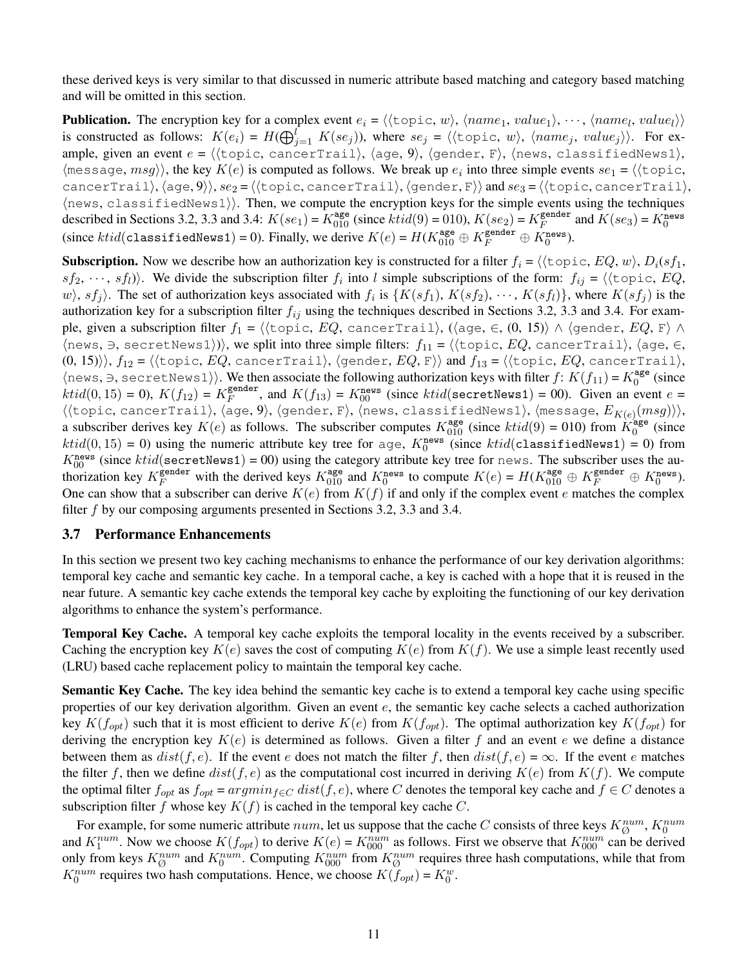these derived keys is very similar to that discussed in numeric attribute based matching and category based matching and will be omitted in this section.

**Publication.** The encryption key for a complex event  $e_i = \langle \langle \text{topic}, w \rangle, \langle name_1, value_1 \rangle, \dots, \langle name_l, value_l \rangle \rangle$ is constructed as follows:  $K(e_i) = H(\bigoplus_{j=1}^{l} K(se_j))$ , where  $se_j = \langle \langle \text{topic}, w \rangle, \langle name_j, value_j \rangle \rangle$ . For example, given an event  $e = \langle \langle \text{topic}, \text{cancelTrail} \rangle, \langle \text{age}, 9 \rangle, \langle \text{gender}, \text{F} \rangle, \langle \text{news}, \text{classifiedNews1} \rangle,$  $\langle$ message,  $msg\rangle$ , the key  $K(e)$  is computed as follows. We break up  $e_i$  into three simple events  $se_1 = \langle \langle \text{topic},$ cancerTrail),  $\langle \text{age}, 9 \rangle$ ),  $se_2 = \langle \langle \text{topic}, \text{cancelTrail} \rangle$ ,  $\langle \text{gender}, F \rangle$  and  $se_3 = \langle \langle \text{topic}, \text{cancelTrail} \rangle$ ,  $\langle$ news, classifiedNews1 $\rangle$ ). Then, we compute the encryption keys for the simple events using the techniques described in Sections 3.2, 3.3 and 3.4:  $K(se_1) = K_{010}^{\text{age}}$  (since  $ktid(9) = 010$ ),  $K(se_2) = K_F^{\text{gender}}$  $K<sub>F</sub>$  and  $K(se<sub>3</sub>) = K<sub>0</sub><sup>news</sup>$ (since  $ktid$  (classifiedNews1) = 0). Finally, we derive  $K(e) = H(K_{010}^{\text{age}} \oplus K_F^{\text{gender}} \oplus K_0^{\text{news}})$ .

**Subscription.** Now we describe how an authorization key is constructed for a filter  $f_i = \langle \langle \text{topic}, EQ, w \rangle, D_i(s f_1, \text{target}) \rangle$  $sf_2, \dots, sf_l$ ). We divide the subscription filter  $f_i$  into l simple subscriptions of the form:  $f_{ij} = \langle \langle \text{topic}, EQ, \rangle \rangle$  $\langle w \rangle$ ,  $sf_j \rangle$ . The set of authorization keys associated with  $f_i$  is  $\{K(sf_1), K(sf_2), \cdots, K(sf_l)\}\$ , where  $K(sf_j)$  is the authorization key for a subscription filter  $f_{ij}$  using the techniques described in Sections 3.2, 3.3 and 3.4. For example, given a subscription filter  $f_1$  =  $\langle$ (topic,  $EQ$ , cancerTrail), ( $\langle$ age, ∈, (0, 15)) ∧  $\langle$ gender,  $EQ$ , F $\rangle$  ∧ (news,  $\Rightarrow$ , secretNews1)), we split into three simple filters:  $f_{11} = \langle \langle \text{topic}, EQ, \text{ cancerTrain}\rangle, \langle \text{age}, \in, \rangle \rangle$  $(0, 15)$ ,  $f_{12} = \langle \langle \text{topic}, EQ, \text{cancerTail} \rangle, \langle \text{gender}, EQ, \text{F} \rangle \rangle$  and  $f_{13} = \langle \langle \text{topic}, EQ, \text{cancerTail} \rangle,$  $\langle$ news,  $\Rightarrow$ , secretNews1 $\rangle$ ). We then associate the following authorization keys with filter  $f: K(f_{11}) = K_0^{\text{age}}$  $_0^{\text{age}}$  (since  $ktid(0, 15) = 0$ ),  $K(f_{12}) = K_F^{\text{gender}}$  $K_F^{\text{gender}}$ , and  $K(f_{13}) = K_{00}^{\text{news}}$  (since  $ktid(\text{secretNews1}) = 00$ ). Given an event  $e =$  $\langle \langle$ topic, cancerTrail $\rangle$ ,  $\langle$ age,  $9\rangle$ ,  $\langle$ gender, F $\rangle$ ,  $\langle$ news, classifiedNews1 $\rangle$ ,  $\langle$ message,  $E_{K(e)}(msg)\rangle\rangle$ , a subscriber derives key  $K(e)$  as follows. The subscriber computes  $K_{010}^{\text{age}}$  (since  $ktid(9) = 010$ ) from  $K_0^{\text{age}}$  $_0^{\text{age}}$  (since  $ktid(0, 15) = 0$ ) using the numeric attribute key tree for age,  $K_0^{\text{news}}$  (since  $ktid(\text{classifiedNews1}) = 0$ ) from  $K_{00}^{\text{news}}$  (since  $ktid(\text{secretNews1}) = 00$ ) using the category attribute key tree for news. The subscriber uses the authorization key  $K_F^{\text{gender}}$  with the derived keys  $K_{010}^{\text{age}}$  and  $K_0^{\text{news}}$  to compute  $K(e) = H(K_{010}^{\text{age}} \oplus K_F^{\text{gender}} \oplus K_0^{\text{news}})$ . One can show that a subscriber can derive  $K(e)$  from  $K(f)$  if and only if the complex event e matches the complex filter  $f$  by our composing arguments presented in Sections 3.2, 3.3 and 3.4.

#### **3.7 Performance Enhancements**

In this section we present two key caching mechanisms to enhance the performance of our key derivation algorithms: temporal key cache and semantic key cache. In a temporal cache, a key is cached with a hope that it is reused in the near future. A semantic key cache extends the temporal key cache by exploiting the functioning of our key derivation algorithms to enhance the system's performance.

**Temporal Key Cache.** A temporal key cache exploits the temporal locality in the events received by a subscriber. Caching the encryption key  $K(e)$  saves the cost of computing  $K(e)$  from  $K(f)$ . We use a simple least recently used (LRU) based cache replacement policy to maintain the temporal key cache.

**Semantic Key Cache.** The key idea behind the semantic key cache is to extend a temporal key cache using specific properties of our key derivation algorithm. Given an event  $e$ , the semantic key cache selects a cached authorization key  $K(f_{opt})$  such that it is most efficient to derive  $K(e)$  from  $K(f_{opt})$ . The optimal authorization key  $K(f_{opt})$  for deriving the encryption key  $K(e)$  is determined as follows. Given a filter f and an event e we define a distance between them as  $dist(f, e)$ . If the event e does not match the filter f, then  $dist(f, e) = \infty$ . If the event e matches the filter f, then we define  $dist(f, e)$  as the computational cost incurred in deriving  $K(e)$  from  $K(f)$ . We compute the optimal filter  $f_{opt}$  as  $f_{opt} = argmin_{f \in C} dist(f, e)$ , where C denotes the temporal key cache and  $f \in C$  denotes a subscription filter f whose key  $K(f)$  is cached in the temporal key cache C.

For example, for some numeric attribute  $num$ , let us suppose that the cache C consists of three keys  $K_Q^{num}$ ,  $K_0^{num}$ For example, for some numeric authority *ham*, for as suppose that the each  $\sigma$  consists of three keys  $K_{\emptyset}$ ,  $K_0$  and  $K_1^{num}$ . Now we choose  $K(f_{opt})$  to derive  $K(e) = K_{000}^{num}$  as follows. First we observe that  $K_{00$ only from keys  $K_{\emptyset}^{num}$  and  $K_0^{num}$ . Computing  $K_{000}^{num}$  from  $K_{\emptyset}^{num}$  requires three hash computations, while that from  $K_0^{num}$  requires two hash computations. Hence, we choose  $K(\tilde{f}_{opt}) = K_0^w$ .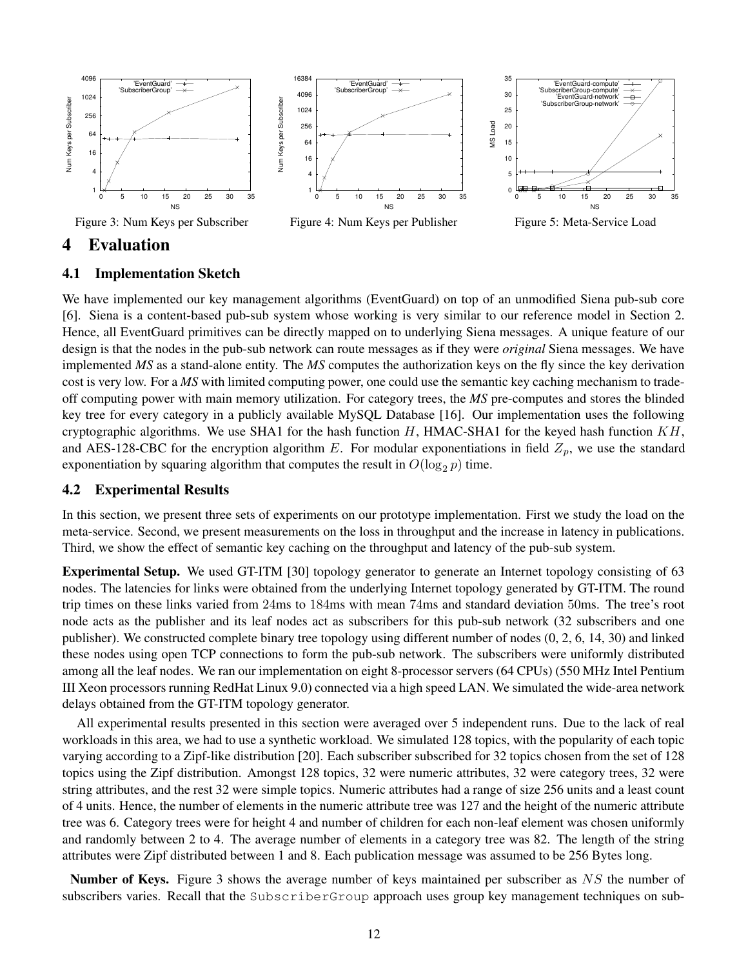

## **4 Evaluation**

#### **4.1 Implementation Sketch**

We have implemented our key management algorithms (EventGuard) on top of an unmodified Siena pub-sub core [6]. Siena is a content-based pub-sub system whose working is very similar to our reference model in Section 2. Hence, all EventGuard primitives can be directly mapped on to underlying Siena messages. A unique feature of our design is that the nodes in the pub-sub network can route messages as if they were *original* Siena messages. We have implemented *MS* as a stand-alone entity. The *MS* computes the authorization keys on the fly since the key derivation cost is very low. For a *MS* with limited computing power, one could use the semantic key caching mechanism to tradeoff computing power with main memory utilization. For category trees, the *MS* pre-computes and stores the blinded key tree for every category in a publicly available MySQL Database [16]. Our implementation uses the following cryptographic algorithms. We use SHA1 for the hash function  $H$ , HMAC-SHA1 for the keyed hash function  $KH$ , and AES-128-CBC for the encryption algorithm E. For modular exponentiations in field  $Z_p$ , we use the standard exponentiation by squaring algorithm that computes the result in  $O(\log_2 p)$  time.

## **4.2 Experimental Results**

In this section, we present three sets of experiments on our prototype implementation. First we study the load on the meta-service. Second, we present measurements on the loss in throughput and the increase in latency in publications. Third, we show the effect of semantic key caching on the throughput and latency of the pub-sub system.

**Experimental Setup.** We used GT-ITM [30] topology generator to generate an Internet topology consisting of 63 nodes. The latencies for links were obtained from the underlying Internet topology generated by GT-ITM. The round trip times on these links varied from 24ms to 184ms with mean 74ms and standard deviation 50ms. The tree's root node acts as the publisher and its leaf nodes act as subscribers for this pub-sub network (32 subscribers and one publisher). We constructed complete binary tree topology using different number of nodes (0, 2, 6, 14, 30) and linked these nodes using open TCP connections to form the pub-sub network. The subscribers were uniformly distributed among all the leaf nodes. We ran our implementation on eight 8-processor servers (64 CPUs) (550 MHz Intel Pentium III Xeon processors running RedHat Linux 9.0) connected via a high speed LAN. We simulated the wide-area network delays obtained from the GT-ITM topology generator.

All experimental results presented in this section were averaged over 5 independent runs. Due to the lack of real workloads in this area, we had to use a synthetic workload. We simulated 128 topics, with the popularity of each topic varying according to a Zipf-like distribution [20]. Each subscriber subscribed for 32 topics chosen from the set of 128 topics using the Zipf distribution. Amongst 128 topics, 32 were numeric attributes, 32 were category trees, 32 were string attributes, and the rest 32 were simple topics. Numeric attributes had a range of size 256 units and a least count of 4 units. Hence, the number of elements in the numeric attribute tree was 127 and the height of the numeric attribute tree was 6. Category trees were for height 4 and number of children for each non-leaf element was chosen uniformly and randomly between 2 to 4. The average number of elements in a category tree was 82. The length of the string attributes were Zipf distributed between 1 and 8. Each publication message was assumed to be 256 Bytes long.

**Number of Keys.** Figure 3 shows the average number of keys maintained per subscriber as NS the number of subscribers varies. Recall that the SubscriberGroup approach uses group key management techniques on sub-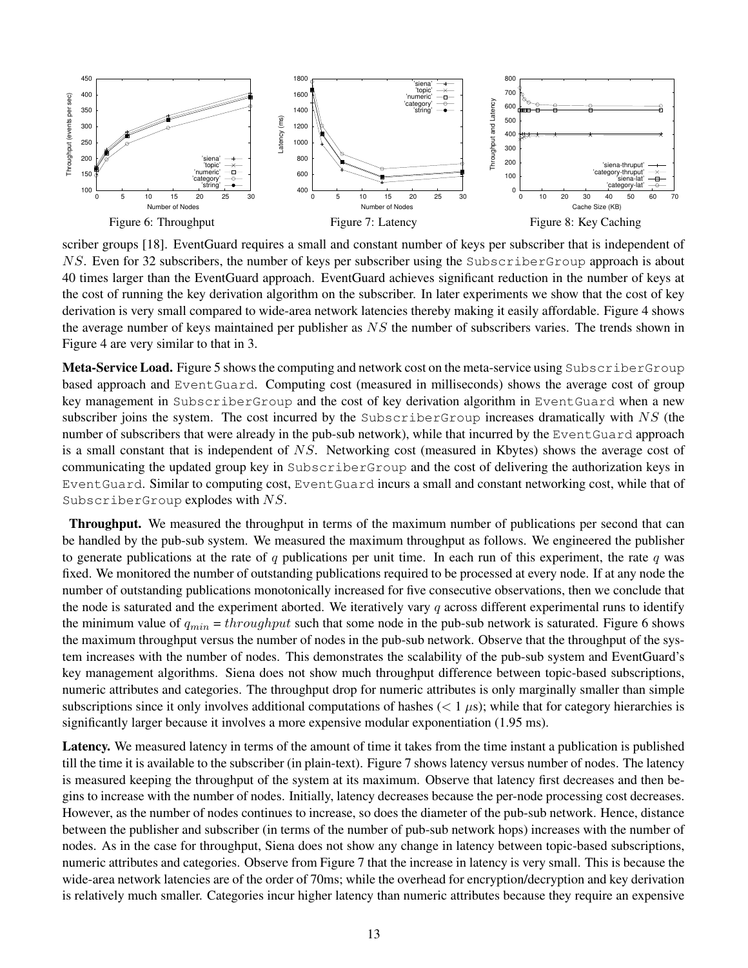

scriber groups [18]. EventGuard requires a small and constant number of keys per subscriber that is independent of NS. Even for 32 subscribers, the number of keys per subscriber using the SubscriberGroup approach is about 40 times larger than the EventGuard approach. EventGuard achieves significant reduction in the number of keys at the cost of running the key derivation algorithm on the subscriber. In later experiments we show that the cost of key derivation is very small compared to wide-area network latencies thereby making it easily affordable. Figure 4 shows the average number of keys maintained per publisher as NS the number of subscribers varies. The trends shown in Figure 4 are very similar to that in 3.

**Meta-Service Load.** Figure 5 shows the computing and network cost on the meta-service using SubscriberGroup based approach and EventGuard. Computing cost (measured in milliseconds) shows the average cost of group key management in SubscriberGroup and the cost of key derivation algorithm in EventGuard when a new subscriber joins the system. The cost incurred by the SubscriberGroup increases dramatically with  $NS$  (the number of subscribers that were already in the pub-sub network), while that incurred by the EventGuard approach is a small constant that is independent of NS. Networking cost (measured in Kbytes) shows the average cost of communicating the updated group key in SubscriberGroup and the cost of delivering the authorization keys in EventGuard. Similar to computing cost, EventGuard incurs a small and constant networking cost, while that of SubscriberGroup explodes with NS.

**Throughput.** We measured the throughput in terms of the maximum number of publications per second that can be handled by the pub-sub system. We measured the maximum throughput as follows. We engineered the publisher to generate publications at the rate of q publications per unit time. In each run of this experiment, the rate q was fixed. We monitored the number of outstanding publications required to be processed at every node. If at any node the number of outstanding publications monotonically increased for five consecutive observations, then we conclude that the node is saturated and the experiment aborted. We iteratively vary q across different experimental runs to identify the minimum value of  $q_{min} = throughput$  such that some node in the pub-sub network is saturated. Figure 6 shows the maximum throughput versus the number of nodes in the pub-sub network. Observe that the throughput of the system increases with the number of nodes. This demonstrates the scalability of the pub-sub system and EventGuard's key management algorithms. Siena does not show much throughput difference between topic-based subscriptions, numeric attributes and categories. The throughput drop for numeric attributes is only marginally smaller than simple subscriptions since it only involves additional computations of hashes  $(< 1 \mu s)$ ; while that for category hierarchies is significantly larger because it involves a more expensive modular exponentiation (1.95 ms).

Latency. We measured latency in terms of the amount of time it takes from the time instant a publication is published till the time it is available to the subscriber (in plain-text). Figure 7 shows latency versus number of nodes. The latency is measured keeping the throughput of the system at its maximum. Observe that latency first decreases and then begins to increase with the number of nodes. Initially, latency decreases because the per-node processing cost decreases. However, as the number of nodes continues to increase, so does the diameter of the pub-sub network. Hence, distance between the publisher and subscriber (in terms of the number of pub-sub network hops) increases with the number of nodes. As in the case for throughput, Siena does not show any change in latency between topic-based subscriptions, numeric attributes and categories. Observe from Figure 7 that the increase in latency is very small. This is because the wide-area network latencies are of the order of 70ms; while the overhead for encryption/decryption and key derivation is relatively much smaller. Categories incur higher latency than numeric attributes because they require an expensive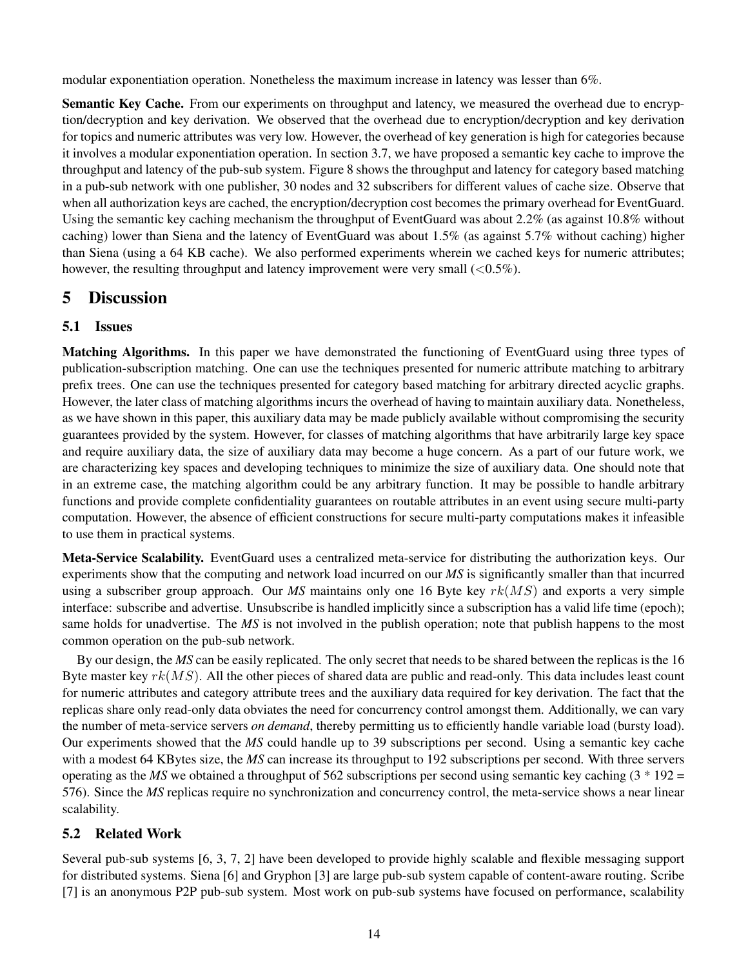modular exponentiation operation. Nonetheless the maximum increase in latency was lesser than 6%.

**Semantic Key Cache.** From our experiments on throughput and latency, we measured the overhead due to encryption/decryption and key derivation. We observed that the overhead due to encryption/decryption and key derivation for topics and numeric attributes was very low. However, the overhead of key generation is high for categories because it involves a modular exponentiation operation. In section 3.7, we have proposed a semantic key cache to improve the throughput and latency of the pub-sub system. Figure 8 shows the throughput and latency for category based matching in a pub-sub network with one publisher, 30 nodes and 32 subscribers for different values of cache size. Observe that when all authorization keys are cached, the encryption/decryption cost becomes the primary overhead for EventGuard. Using the semantic key caching mechanism the throughput of EventGuard was about 2.2% (as against 10.8% without caching) lower than Siena and the latency of EventGuard was about 1.5% (as against 5.7% without caching) higher than Siena (using a 64 KB cache). We also performed experiments wherein we cached keys for numeric attributes; however, the resulting throughput and latency improvement were very small  $(<0.5\%)$ .

# **5 Discussion**

## **5.1 Issues**

**Matching Algorithms.** In this paper we have demonstrated the functioning of EventGuard using three types of publication-subscription matching. One can use the techniques presented for numeric attribute matching to arbitrary prefix trees. One can use the techniques presented for category based matching for arbitrary directed acyclic graphs. However, the later class of matching algorithms incurs the overhead of having to maintain auxiliary data. Nonetheless, as we have shown in this paper, this auxiliary data may be made publicly available without compromising the security guarantees provided by the system. However, for classes of matching algorithms that have arbitrarily large key space and require auxiliary data, the size of auxiliary data may become a huge concern. As a part of our future work, we are characterizing key spaces and developing techniques to minimize the size of auxiliary data. One should note that in an extreme case, the matching algorithm could be any arbitrary function. It may be possible to handle arbitrary functions and provide complete confidentiality guarantees on routable attributes in an event using secure multi-party computation. However, the absence of efficient constructions for secure multi-party computations makes it infeasible to use them in practical systems.

**Meta-Service Scalability.** EventGuard uses a centralized meta-service for distributing the authorization keys. Our experiments show that the computing and network load incurred on our *MS* is significantly smaller than that incurred using a subscriber group approach. Our *MS* maintains only one 16 Byte key rk(MS) and exports a very simple interface: subscribe and advertise. Unsubscribe is handled implicitly since a subscription has a valid life time (epoch); same holds for unadvertise. The *MS* is not involved in the publish operation; note that publish happens to the most common operation on the pub-sub network.

By our design, the *MS* can be easily replicated. The only secret that needs to be shared between the replicas is the 16 Byte master key  $rk(MS)$ . All the other pieces of shared data are public and read-only. This data includes least count for numeric attributes and category attribute trees and the auxiliary data required for key derivation. The fact that the replicas share only read-only data obviates the need for concurrency control amongst them. Additionally, we can vary the number of meta-service servers *on demand*, thereby permitting us to efficiently handle variable load (bursty load). Our experiments showed that the *MS* could handle up to 39 subscriptions per second. Using a semantic key cache with a modest 64 KBytes size, the *MS* can increase its throughput to 192 subscriptions per second. With three servers operating as the *MS* we obtained a throughput of 562 subscriptions per second using semantic key caching  $(3 * 192 =$ 576). Since the *MS* replicas require no synchronization and concurrency control, the meta-service shows a near linear scalability.

# **5.2 Related Work**

Several pub-sub systems [6, 3, 7, 2] have been developed to provide highly scalable and flexible messaging support for distributed systems. Siena [6] and Gryphon [3] are large pub-sub system capable of content-aware routing. Scribe [7] is an anonymous P2P pub-sub system. Most work on pub-sub systems have focused on performance, scalability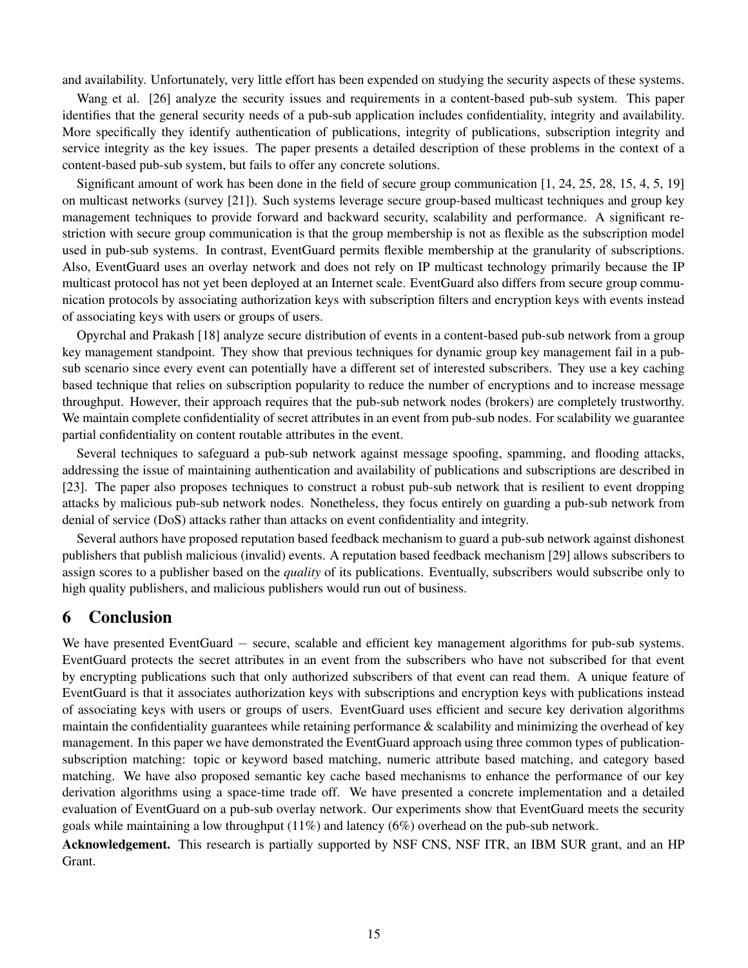and availability. Unfortunately, very little effort has been expended on studying the security aspects of these systems.

Wang et al. [26] analyze the security issues and requirements in a content-based pub-sub system. This paper identifies that the general security needs of a pub-sub application includes confidentiality, integrity and availability. More specifically they identify authentication of publications, integrity of publications, subscription integrity and service integrity as the key issues. The paper presents a detailed description of these problems in the context of a content-based pub-sub system, but fails to offer any concrete solutions.

Significant amount of work has been done in the field of secure group communication [1, 24, 25, 28, 15, 4, 5, 19] on multicast networks (survey [21]). Such systems leverage secure group-based multicast techniques and group key management techniques to provide forward and backward security, scalability and performance. A significant restriction with secure group communication is that the group membership is not as flexible as the subscription model used in pub-sub systems. In contrast, EventGuard permits flexible membership at the granularity of subscriptions. Also, EventGuard uses an overlay network and does not rely on IP multicast technology primarily because the IP multicast protocol has not yet been deployed at an Internet scale. EventGuard also differs from secure group communication protocols by associating authorization keys with subscription filters and encryption keys with events instead of associating keys with users or groups of users.

Opyrchal and Prakash [18] analyze secure distribution of events in a content-based pub-sub network from a group key management standpoint. They show that previous techniques for dynamic group key management fail in a pubsub scenario since every event can potentially have a different set of interested subscribers. They use a key caching based technique that relies on subscription popularity to reduce the number of encryptions and to increase message throughput. However, their approach requires that the pub-sub network nodes (brokers) are completely trustworthy. We maintain complete confidentiality of secret attributes in an event from pub-sub nodes. For scalability we guarantee partial confidentiality on content routable attributes in the event.

Several techniques to safeguard a pub-sub network against message spoofing, spamming, and flooding attacks, addressing the issue of maintaining authentication and availability of publications and subscriptions are described in [23]. The paper also proposes techniques to construct a robust pub-sub network that is resilient to event dropping attacks by malicious pub-sub network nodes. Nonetheless, they focus entirely on guarding a pub-sub network from denial of service (DoS) attacks rather than attacks on event confidentiality and integrity.

Several authors have proposed reputation based feedback mechanism to guard a pub-sub network against dishonest publishers that publish malicious (invalid) events. A reputation based feedback mechanism [29] allows subscribers to assign scores to a publisher based on the *quality* of its publications. Eventually, subscribers would subscribe only to high quality publishers, and malicious publishers would run out of business.

## **6 Conclusion**

We have presented EventGuard − secure, scalable and efficient key management algorithms for pub-sub systems. EventGuard protects the secret attributes in an event from the subscribers who have not subscribed for that event by encrypting publications such that only authorized subscribers of that event can read them. A unique feature of EventGuard is that it associates authorization keys with subscriptions and encryption keys with publications instead of associating keys with users or groups of users. EventGuard uses efficient and secure key derivation algorithms maintain the confidentiality guarantees while retaining performance  $\&$  scalability and minimizing the overhead of key management. In this paper we have demonstrated the EventGuard approach using three common types of publicationsubscription matching: topic or keyword based matching, numeric attribute based matching, and category based matching. We have also proposed semantic key cache based mechanisms to enhance the performance of our key derivation algorithms using a space-time trade off. We have presented a concrete implementation and a detailed evaluation of EventGuard on a pub-sub overlay network. Our experiments show that EventGuard meets the security goals while maintaining a low throughput (11%) and latency (6%) overhead on the pub-sub network.

**Acknowledgement.** This research is partially supported by NSF CNS, NSF ITR, an IBM SUR grant, and an HP Grant.